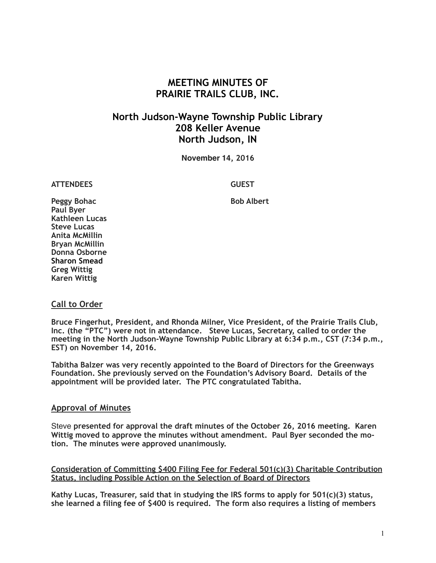# **MEETING MINUTES OF PRAIRIE TRAILS CLUB, INC.**

# **North Judson-Wayne Township Public Library 208 Keller Avenue North Judson, IN**

**November 14, 2016**

**ATTENDEES GUEST**

Peggy Bohac **Bob Albert Bob Albert Paul Byer Kathleen Lucas Steve Lucas Anita McMillin Bryan McMillin Donna Osborne Sharon Smead Greg Wittig Karen Wittig**

## **Call to Order**

**Bruce Fingerhut, President, and Rhonda Milner, Vice President, of the Prairie Trails Club, Inc. (the "PTC") were not in attendance. Steve Lucas, Secretary, called to order the meeting in the North Judson-Wayne Township Public Library at 6:34 p.m., CST (7:34 p.m., EST) on November 14, 2016.**

**Tabitha Balzer was very recently appointed to the Board of Directors for the Greenways Foundation. She previously served on the Foundation's Advisory Board. Details of the appointment will be provided later. The PTC congratulated Tabitha.** 

### **Approval of Minutes**

Steve **presented for approval the draft minutes of the October 26, 2016 meeting. Karen Wittig moved to approve the minutes without amendment. Paul Byer seconded the motion. The minutes were approved unanimously.**

**Consideration of Committing \$400 Filing Fee for Federal 501(c)(3) Charitable Contribution Status, including Possible Action on the Selection of Board of Directors**

**Kathy Lucas, Treasurer, said that in studying the IRS forms to apply for 501(c)(3) status, she learned a filing fee of \$400 is required. The form also requires a listing of members**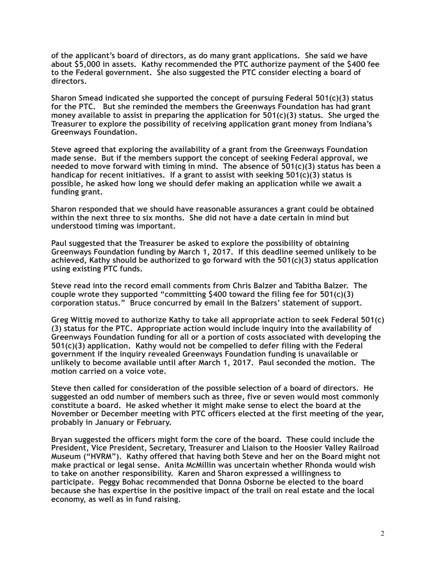**of the applicant's board of directors, as do many grant applications. She said we have about \$5,000 in assets. Kathy recommended the PTC authorize payment of the \$400 fee to the Federal government. She also suggested the PTC consider electing a board of directors.** 

**Sharon Smead indicated she supported the concept of pursuing Federal 501(c)(3) status for the PTC. But she reminded the members the Greenways Foundation has had grant money available to assist in preparing the application for 501(c)(3) status. She urged the Treasurer to explore the possibility of receiving application grant money from Indiana's Greenways Foundation.** 

**Steve agreed that exploring the availability of a grant from the Greenways Foundation made sense. But if the members support the concept of seeking Federal approval, we needed to move forward with timing in mind. The absence of 501(c)(3) status has been a handicap for recent initiatives. If a grant to assist with seeking 501(c)(3) status is possible, he asked how long we should defer making an application while we await a funding grant.** 

**Sharon responded that we should have reasonable assurances a grant could be obtained within the next three to six months. She did not have a date certain in mind but understood timing was important.** 

**Paul suggested that the Treasurer be asked to explore the possibility of obtaining Greenways Foundation funding by March 1, 2017. If this deadline seemed unlikely to be achieved, Kathy should be authorized to go forward with the 501(c)(3) status application using existing PTC funds.** 

**Steve read into the record email comments from Chris Balzer and Tabitha Balzer. The couple wrote they supported "committing \$400 toward the filing fee for 501(c)(3) corporation status." Bruce concurred by email in the Balzers' statement of support.** 

**Greg Wittig moved to authorize Kathy to take all appropriate action to seek Federal 501(c) (3) status for the PTC. Appropriate action would include inquiry into the availability of Greenways Foundation funding for all or a portion of costs associated with developing the 501(c)(3) application. Kathy would not be compelled to defer filing with the Federal government if the inquiry revealed Greenways Foundation funding is unavailable or unlikely to become available until after March 1, 2017. Paul seconded the motion. The motion carried on a voice vote.** 

**Steve then called for consideration of the possible selection of a board of directors. He suggested an odd number of members such as three, five or seven would most commonly constitute a board. He asked whether it might make sense to elect the board at the November or December meeting with PTC officers elected at the first meeting of the year, probably in January or February.** 

**Bryan suggested the officers might form the core of the board. These could include the President, Vice President, Secretary, Treasurer and Liaison to the Hoosier Valley Railroad Museum ("HVRM"). Kathy offered that having both Steve and her on the Board might not make practical or legal sense. Anita McMillin was uncertain whether Rhonda would wish to take on another responsibility. Karen and Sharon expressed a willingness to participate. Peggy Bohac recommended that Donna Osborne be elected to the board because she has expertise in the positive impact of the trail on real estate and the local economy, as well as in fund raising.**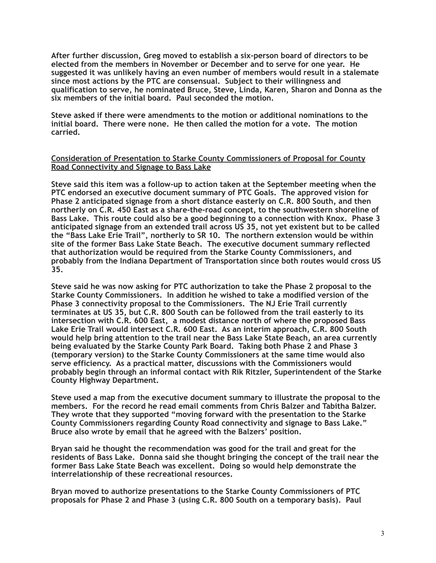**After further discussion, Greg moved to establish a six-person board of directors to be elected from the members in November or December and to serve for one year. He suggested it was unlikely having an even number of members would result in a stalemate since most actions by the PTC are consensual. Subject to their willingness and qualification to serve, he nominated Bruce, Steve, Linda, Karen, Sharon and Donna as the six members of the initial board. Paul seconded the motion.** 

**Steve asked if there were amendments to the motion or additional nominations to the initial board. There were none. He then called the motion for a vote. The motion carried.** 

#### **Consideration of Presentation to Starke County Commissioners of Proposal for County Road Connectivity and Signage to Bass Lake**

**Steve said this item was a follow-up to action taken at the September meeting when the PTC endorsed an executive document summary of PTC Goals. The approved vision for Phase 2 anticipated signage from a short distance easterly on C.R. 800 South, and then northerly on C.R. 450 East as a share-the-road concept, to the southwestern shoreline of Bass Lake. This route could also be a good beginning to a connection with Knox. Phase 3 anticipated signage from an extended trail across US 35, not yet existent but to be called the "Bass Lake Erie Trail", northerly to SR 10. The northern extension would be within site of the former Bass Lake State Beach. The executive document summary reflected that authorization would be required from the Starke County Commissioners, and probably from the Indiana Department of Transportation since both routes would cross US 35.** 

**Steve said he was now asking for PTC authorization to take the Phase 2 proposal to the Starke County Commissioners. In addition he wished to take a modified version of the Phase 3 connectivity proposal to the Commissioners. The NJ Erie Trail currently terminates at US 35, but C.R. 800 South can be followed from the trail easterly to its intersection with C.R. 600 East, a modest distance north of where the proposed Bass Lake Erie Trail would intersect C.R. 600 East. As an interim approach, C.R. 800 South would help bring attention to the trail near the Bass Lake State Beach, an area currently being evaluated by the Starke County Park Board. Taking both Phase 2 and Phase 3 (temporary version) to the Starke County Commissioners at the same time would also serve efficiency. As a practical matter, discussions with the Commissioners would probably begin through an informal contact with Rik Ritzler, Superintendent of the Starke County Highway Department.** 

**Steve used a map from the executive document summary to illustrate the proposal to the members. For the record he read email comments from Chris Balzer and Tabitha Balzer. They wrote that they supported "moving forward with the presentation to the Starke County Commissioners regarding County Road connectivity and signage to Bass Lake." Bruce also wrote by email that he agreed with the Balzers' position.** 

**Bryan said he thought the recommendation was good for the trail and great for the residents of Bass Lake. Donna said she thought bringing the concept of the trail near the former Bass Lake State Beach was excellent. Doing so would help demonstrate the interrelationship of these recreational resources.** 

**Bryan moved to authorize presentations to the Starke County Commissioners of PTC proposals for Phase 2 and Phase 3 (using C.R. 800 South on a temporary basis). Paul**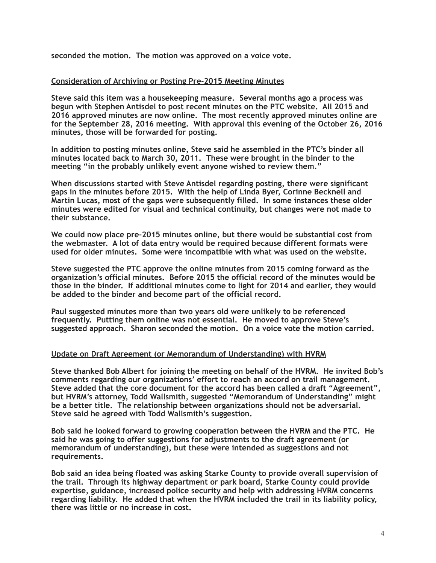**seconded the motion. The motion was approved on a voice vote.** 

#### **Consideration of Archiving or Posting Pre-2015 Meeting Minutes**

**Steve said this item was a housekeeping measure. Several months ago a process was begun with Stephen Antisdel to post recent minutes on the PTC website. All 2015 and 2016 approved minutes are now online. The most recently approved minutes online are for the September 28, 2016 meeting. With approval this evening of the October 26, 2016 minutes, those will be forwarded for posting.** 

**In addition to posting minutes online, Steve said he assembled in the PTC's binder all minutes located back to March 30, 2011. These were brought in the binder to the meeting "in the probably unlikely event anyone wished to review them."** 

**When discussions started with Steve Antisdel regarding posting, there were significant gaps in the minutes before 2015. With the help of Linda Byer, Corinne Becknell and Martin Lucas, most of the gaps were subsequently filled. In some instances these older minutes were edited for visual and technical continuity, but changes were not made to their substance.** 

**We could now place pre-2015 minutes online, but there would be substantial cost from the webmaster. A lot of data entry would be required because different formats were used for older minutes. Some were incompatible with what was used on the website.** 

**Steve suggested the PTC approve the online minutes from 2015 coming forward as the organization's official minutes. Before 2015 the official record of the minutes would be those in the binder. If additional minutes come to light for 2014 and earlier, they would be added to the binder and become part of the official record.** 

**Paul suggested minutes more than two years old were unlikely to be referenced frequently. Putting them online was not essential. He moved to approve Steve's suggested approach. Sharon seconded the motion. On a voice vote the motion carried.** 

#### **Update on Draft Agreement (or Memorandum of Understanding) with HVRM**

**Steve thanked Bob Albert for joining the meeting on behalf of the HVRM. He invited Bob's comments regarding our organizations' effort to reach an accord on trail management. Steve added that the core document for the accord has been called a draft "Agreement", but HVRM's attorney, Todd Wallsmith, suggested "Memorandum of Understanding" might be a better title. The relationship between organizations should not be adversarial. Steve said he agreed with Todd Wallsmith's suggestion.** 

**Bob said he looked forward to growing cooperation between the HVRM and the PTC. He said he was going to offer suggestions for adjustments to the draft agreement (or memorandum of understanding), but these were intended as suggestions and not requirements.** 

**Bob said an idea being floated was asking Starke County to provide overall supervision of the trail. Through its highway department or park board, Starke County could provide expertise, guidance, increased police security and help with addressing HVRM concerns regarding liability. He added that when the HVRM included the trail in its liability policy, there was little or no increase in cost.**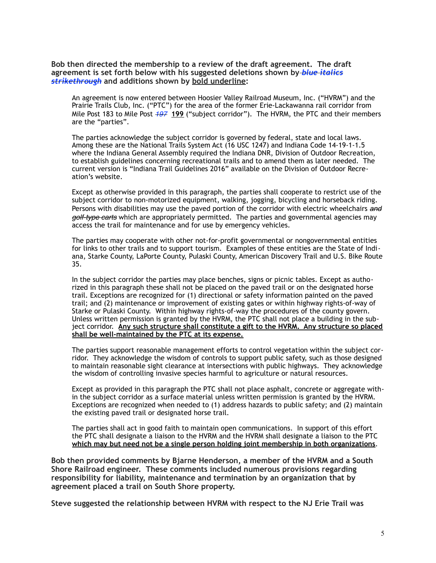**Bob then directed the membership to a review of the draft agreement. The draft agreement is set forth below with his suggested deletions shown by** *blue italics strikethrough* **and additions shown by bold underline:** 

An agreement is now entered between Hoosier Valley Railroad Museum, Inc. ("HVRM") and the Prairie Trails Club, Inc. ("PTC") for the area of the former Erie-Lackawanna rail corridor from Mile Post 183 to Mile Post *197* **199** ("subject corridor"). The HVRM, the PTC and their members are the "parties".

The parties acknowledge the subject corridor is governed by federal, state and local laws. Among these are the National Trails System Act (16 USC 1247) and Indiana Code 14-19-1-1.5 where the Indiana General Assembly required the Indiana DNR, Division of Outdoor Recreation, to establish guidelines concerning recreational trails and to amend them as later needed. The current version is "Indiana Trail Guidelines 2016" available on the Division of Outdoor Recreation's website.

Except as otherwise provided in this paragraph, the parties shall cooperate to restrict use of the subject corridor to non-motorized equipment, walking, jogging, bicycling and horseback riding. Persons with disabilities may use the paved portion of the corridor with electric wheelchairs *and golf-type carts* which are appropriately permitted. The parties and governmental agencies may access the trail for maintenance and for use by emergency vehicles.

The parties may cooperate with other not-for-profit governmental or nongovernmental entities for links to other trails and to support tourism. Examples of these entities are the State of Indiana, Starke County, LaPorte County, Pulaski County, American Discovery Trail and U.S. Bike Route 35.

In the subject corridor the parties may place benches, signs or picnic tables. Except as authorized in this paragraph these shall not be placed on the paved trail or on the designated horse trail. Exceptions are recognized for (1) directional or safety information painted on the paved trail; and (2) maintenance or improvement of existing gates or within highway rights-of-way of Starke or Pulaski County. Within highway rights-of-way the procedures of the county govern. Unless written permission is granted by the HVRM, the PTC shall not place a building in the subject corridor. **Any such structure shall constitute a gift to the HVRM. Any structure so placed shall be well-maintained by the PTC at its expense.**

The parties support reasonable management efforts to control vegetation within the subject corridor. They acknowledge the wisdom of controls to support public safety, such as those designed to maintain reasonable sight clearance at intersections with public highways. They acknowledge the wisdom of controlling invasive species harmful to agriculture or natural resources.

Except as provided in this paragraph the PTC shall not place asphalt, concrete or aggregate within the subject corridor as a surface material unless written permission is granted by the HVRM. Exceptions are recognized when needed to (1) address hazards to public safety; and (2) maintain the existing paved trail or designated horse trail.

The parties shall act in good faith to maintain open communications. In support of this effort the PTC shall designate a liaison to the HVRM and the HVRM shall designate a liaison to the PTC **which may but need not be a single person holding joint membership in both organizations**.

**Bob then provided comments by Bjarne Henderson, a member of the HVRM and a South Shore Railroad engineer. These comments included numerous provisions regarding responsibility for liability, maintenance and termination by an organization that by agreement placed a trail on South Shore property.** 

**Steve suggested the relationship between HVRM with respect to the NJ Erie Trail was**